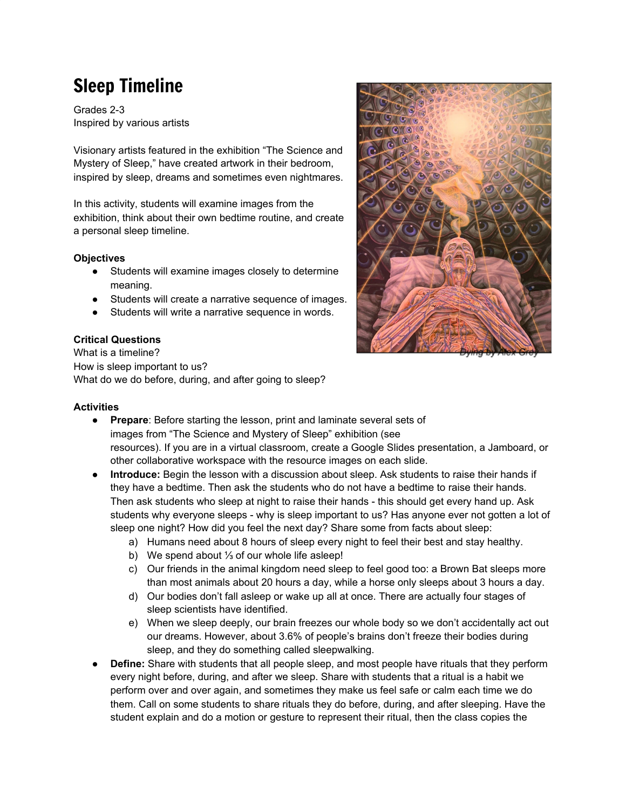# Sleep Timeline

Grades 2-3 Inspired by various artists

Visionary artists featured in the exhibition "The Science and Mystery of Sleep," have created artwork in their bedroom, inspired by sleep, dreams and sometimes even nightmares.

In this activity, students will examine images from the exhibition, think about their own bedtime routine, and create a personal sleep timeline.

## **Objectives**

- Students will examine images closely to determine meaning.
- Students will create a narrative sequence of images.
- Students will write a narrative sequence in words.

## **Critical Questions**

What is a timeline? How is sleep important to us? What do we do before, during, and after going to sleep?



#### **Activities**

- **Prepare**: Before starting the lesson, print and laminate several sets of images from "The Science and Mystery of Sleep" exhibition (see resources). If you are in a virtual classroom, create a Google Slides presentation, a Jamboard, or other collaborative workspace with the resource images on each slide.
- **Introduce:** Begin the lesson with a discussion about sleep. Ask students to raise their hands if they have a bedtime. Then ask the students who do not have a bedtime to raise their hands. Then ask students who sleep at night to raise their hands - this should get every hand up. Ask students why everyone sleeps - why is sleep important to us? Has anyone ever not gotten a lot of sleep one night? How did you feel the next day? Share some from facts about sleep:
	- a) Humans need about 8 hours of sleep every night to feel their best and stay healthy.
	- b) We spend about ⅓ of our whole life asleep!
	- c) Our friends in the animal kingdom need sleep to feel good too: a Brown Bat sleeps more than most animals about 20 hours a day, while a horse only sleeps about 3 hours a day.
	- d) Our bodies don't fall asleep or wake up all at once. There are actually four stages of sleep scientists have identified.
	- e) When we sleep deeply, our brain freezes our whole body so we don't accidentally act out our dreams. However, about 3.6% of people's brains don't freeze their bodies during sleep, and they do something called sleepwalking.
- **Define:** Share with students that all people sleep, and most people have rituals that they perform every night before, during, and after we sleep. Share with students that a ritual is a habit we perform over and over again, and sometimes they make us feel safe or calm each time we do them. Call on some students to share rituals they do before, during, and after sleeping. Have the student explain and do a motion or gesture to represent their ritual, then the class copies the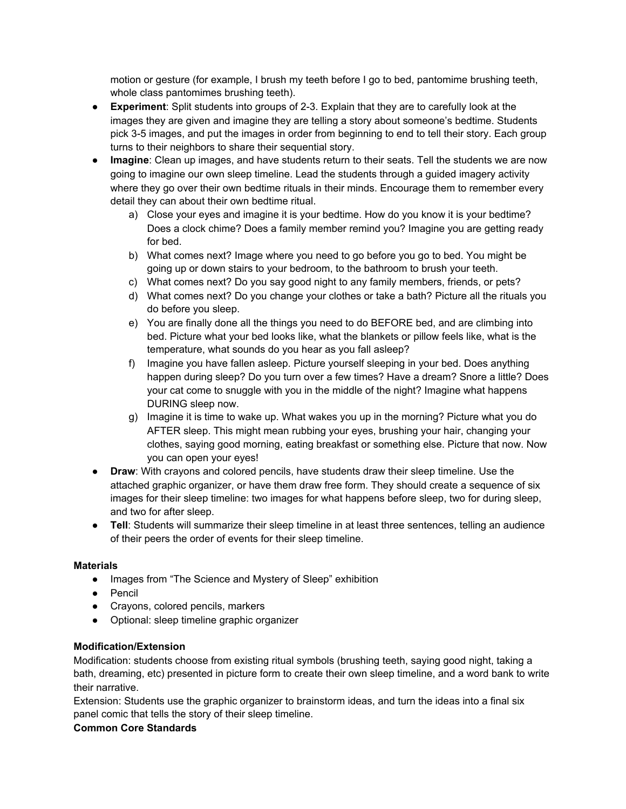motion or gesture (for example, I brush my teeth before I go to bed, pantomime brushing teeth, whole class pantomimes brushing teeth).

- **Experiment**: Split students into groups of 2-3. Explain that they are to carefully look at the images they are given and imagine they are telling a story about someone's bedtime. Students pick 3-5 images, and put the images in order from beginning to end to tell their story. Each group turns to their neighbors to share their sequential story.
- **Imagine**: Clean up images, and have students return to their seats. Tell the students we are now going to imagine our own sleep timeline. Lead the students through a guided imagery activity where they go over their own bedtime rituals in their minds. Encourage them to remember every detail they can about their own bedtime ritual.
	- a) Close your eyes and imagine it is your bedtime. How do you know it is your bedtime? Does a clock chime? Does a family member remind you? Imagine you are getting ready for bed.
	- b) What comes next? Image where you need to go before you go to bed. You might be going up or down stairs to your bedroom, to the bathroom to brush your teeth.
	- c) What comes next? Do you say good night to any family members, friends, or pets?
	- d) What comes next? Do you change your clothes or take a bath? Picture all the rituals you do before you sleep.
	- e) You are finally done all the things you need to do BEFORE bed, and are climbing into bed. Picture what your bed looks like, what the blankets or pillow feels like, what is the temperature, what sounds do you hear as you fall asleep?
	- f) Imagine you have fallen asleep. Picture yourself sleeping in your bed. Does anything happen during sleep? Do you turn over a few times? Have a dream? Snore a little? Does your cat come to snuggle with you in the middle of the night? Imagine what happens DURING sleep now.
	- g) Imagine it is time to wake up. What wakes you up in the morning? Picture what you do AFTER sleep. This might mean rubbing your eyes, brushing your hair, changing your clothes, saying good morning, eating breakfast or something else. Picture that now. Now you can open your eyes!
- **Draw**: With crayons and colored pencils, have students draw their sleep timeline. Use the attached graphic organizer, or have them draw free form. They should create a sequence of six images for their sleep timeline: two images for what happens before sleep, two for during sleep, and two for after sleep.
- **Tell**: Students will summarize their sleep timeline in at least three sentences, telling an audience of their peers the order of events for their sleep timeline.

## **Materials**

- Images from "The Science and Mystery of Sleep" exhibition
- Pencil
- Crayons, colored pencils, markers
- Optional: sleep timeline graphic organizer

## **Modification/Extension**

Modification: students choose from existing ritual symbols (brushing teeth, saying good night, taking a bath, dreaming, etc) presented in picture form to create their own sleep timeline, and a word bank to write their narrative.

Extension: Students use the graphic organizer to brainstorm ideas, and turn the ideas into a final six panel comic that tells the story of their sleep timeline.

## **Common Core Standards**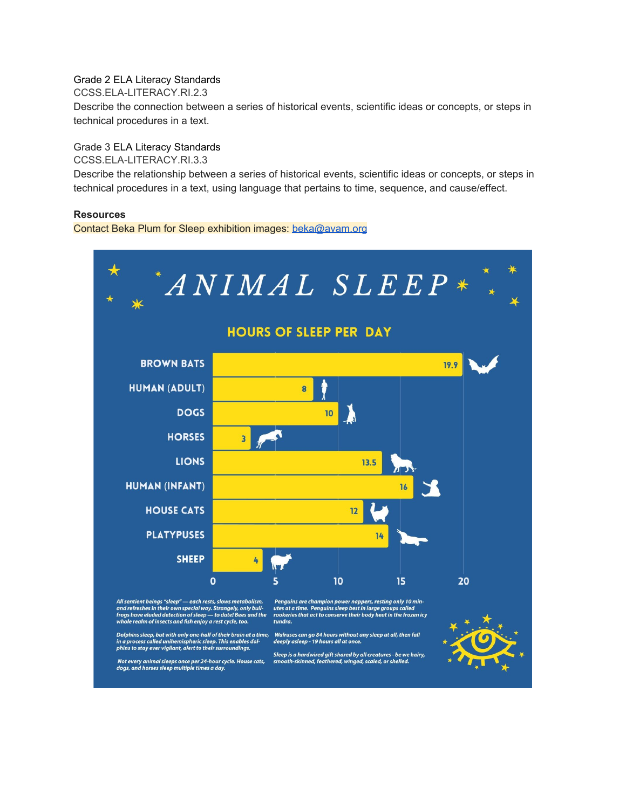#### Grade 2 ELA Literacy Standards

[CCSS.ELA-LITERACY.RI.2.3](http://www.corestandards.org/ELA-Literacy/RI/2/3/)

Describe the connection between a series of historical events, scientific ideas or concepts, or steps in technical procedures in a text.

## Grade 3 ELA Literacy Standards

[CCSS.ELA-LITERACY.RI.3.3](http://www.corestandards.org/ELA-Literacy/RI/3/3/)

Describe the relationship between a series of historical events, scientific ideas or concepts, or steps in technical procedures in a text, using language that pertains to time, sequence, and cause/effect.

#### **Resources**

Contact Beka Plum for Sleep exhibition images: [beka@avam.org](mailto:beka@avam.org)



Not every animal sleeps once per 24-hour cycle. House cats,<br>dogs, and horses sleep multiple times a day.

Sleep is a hardwired gift shared by all creatures - be we hairy,<br>smooth-skinned, feathered, winged, scaled, or shelled.

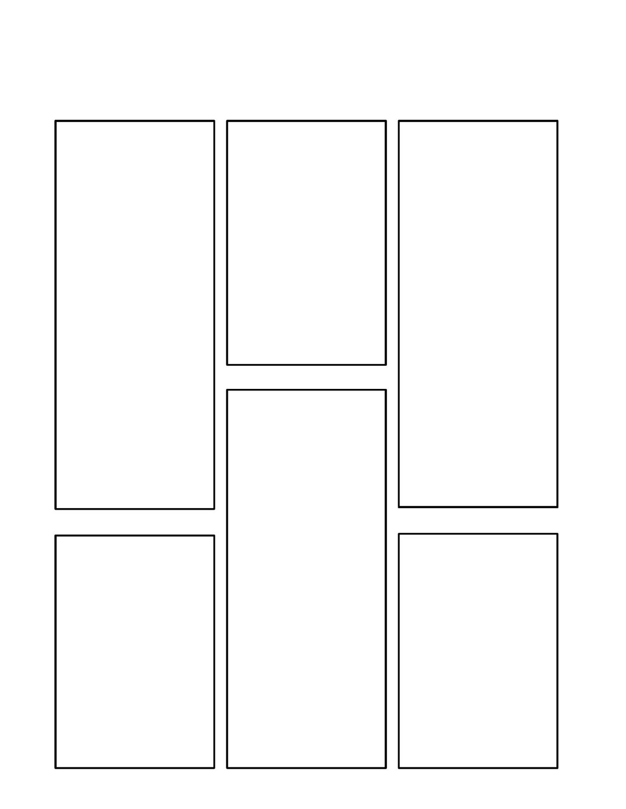